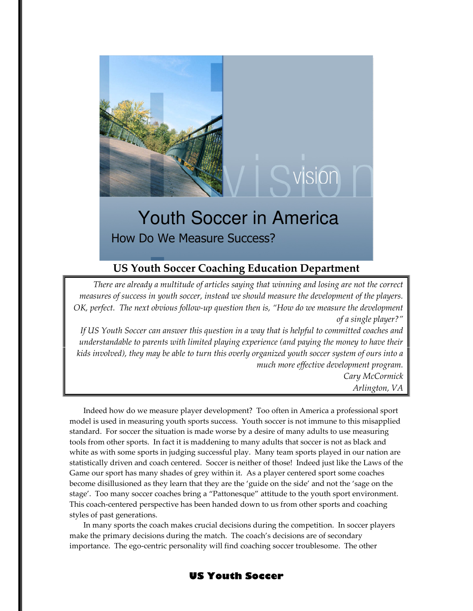

# Youth Soccer in America

How Do We Measure Success?

# US Youth Soccer Coaching Education Department

There are already a multitude of articles saying that winning and losing are not the correct measures of success in youth soccer, instead we should measure the development of the players. OK, perfect. The next obvious follow-up question then is, "How do we measure the development of a single player?"

If US Youth Soccer can answer this question in a way that is helpful to committed coaches and understandable to parents with limited playing experience (and paying the money to have their kids involved), they may be able to turn this overly organized youth soccer system of ours into a much more effective development program. Cary McCormick

Arlington, VA

Indeed how do we measure player development? Too often in America a professional sport model is used in measuring youth sports success. Youth soccer is not immune to this misapplied standard. For soccer the situation is made worse by a desire of many adults to use measuring tools from other sports. In fact it is maddening to many adults that soccer is not as black and white as with some sports in judging successful play. Many team sports played in our nation are statistically driven and coach centered. Soccer is neither of those! Indeed just like the Laws of the Game our sport has many shades of grey within it. As a player centered sport some coaches become disillusioned as they learn that they are the 'guide on the side' and not the 'sage on the stage'. Too many soccer coaches bring a "Pattonesque" attitude to the youth sport environment. This coach-centered perspective has been handed down to us from other sports and coaching styles of past generations.

In many sports the coach makes crucial decisions during the competition. In soccer players make the primary decisions during the match. The coach's decisions are of secondary importance. The ego-centric personality will find coaching soccer troublesome. The other

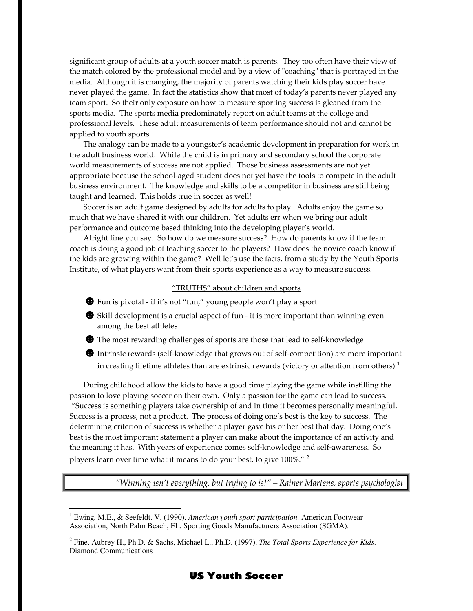significant group of adults at a youth soccer match is parents. They too often have their view of the match colored by the professional model and by a view of "coaching" that is portrayed in the media. Although it is changing, the majority of parents watching their kids play soccer have never played the game. In fact the statistics show that most of today's parents never played any team sport. So their only exposure on how to measure sporting success is gleaned from the sports media. The sports media predominately report on adult teams at the college and professional levels. These adult measurements of team performance should not and cannot be applied to youth sports.

 The analogy can be made to a youngster's academic development in preparation for work in the adult business world. While the child is in primary and secondary school the corporate world measurements of success are not applied. Those business assessments are not yet appropriate because the school-aged student does not yet have the tools to compete in the adult business environment. The knowledge and skills to be a competitor in business are still being taught and learned. This holds true in soccer as well!

 Soccer is an adult game designed by adults for adults to play. Adults enjoy the game so much that we have shared it with our children. Yet adults err when we bring our adult performance and outcome based thinking into the developing player's world.

 Alright fine you say. So how do we measure success? How do parents know if the team coach is doing a good job of teaching soccer to the players? How does the novice coach know if the kids are growing within the game? Well let's use the facts, from a study by the Youth Sports Institute, of what players want from their sports experience as a way to measure success.

#### "TRUTHS" about children and sports

- ☻Fun is pivotal if it's not "fun," young people won't play a sport
- **●** Skill development is a crucial aspect of fun it is more important than winning even among the best athletes
- ☻The most rewarding challenges of sports are those that lead to self-knowledge
- ☻Intrinsic rewards (self-knowledge that grows out of self-competition) are more important in creating lifetime athletes than are extrinsic rewards (victory or attention from others)<sup>1</sup>

During childhood allow the kids to have a good time playing the game while instilling the passion to love playing soccer on their own. Only a passion for the game can lead to success. "Success is something players take ownership of and in time it becomes personally meaningful. Success is a process, not a product. The process of doing one's best is the key to success. The determining criterion of success is whether a player gave his or her best that day. Doing one's best is the most important statement a player can make about the importance of an activity and the meaning it has. With years of experience comes self-knowledge and self-awareness. So players learn over time what it means to do your best, to give 100%." <sup>2</sup>

"Winning isn't everything, but trying to is!" – Rainer Martens, sports psychologist

 $\overline{a}$ 

<sup>2</sup> Fine, Aubrey H., Ph.D. & Sachs, Michael L., Ph.D. (1997). *The Total Sports Experience for Kids*. Diamond Communications



<sup>&</sup>lt;sup>1</sup> Ewing, M.E., & Seefeldt. V. (1990). American youth sport participation. American Footwear Association, North Palm Beach, FL. Sporting Goods Manufacturers Association (SGMA).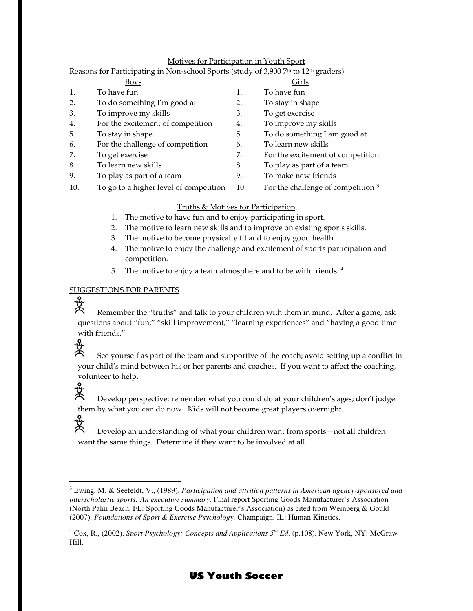## Motives for Participation in Youth Sport

| Reasons for Participating in Non-school Sports (study of 3,900 7th to 12th graders) |                                        |     |                                      |
|-------------------------------------------------------------------------------------|----------------------------------------|-----|--------------------------------------|
|                                                                                     | <b>Boys</b>                            |     | Girls                                |
| 1.                                                                                  | To have fun                            | 1.  | To have fun                          |
| 2.                                                                                  | To do something I'm good at            | 2.  | To stay in shape                     |
| 3.                                                                                  | To improve my skills                   | 3.  | To get exercise                      |
| 4.                                                                                  | For the excitement of competition      | 4.  | To improve my skills                 |
| 5.                                                                                  | To stay in shape                       | 5.  | To do something I am good at         |
| 6.                                                                                  | For the challenge of competition       | 6.  | To learn new skills                  |
| 7.                                                                                  | To get exercise                        | 7.  | For the excitement of competition    |
| 8.                                                                                  | To learn new skills                    | 8.  | To play as part of a team            |
| 9.                                                                                  | To play as part of a team              | 9.  | To make new friends                  |
| 10.                                                                                 | To go to a higher level of competition | 10. | For the challenge of competition $3$ |
|                                                                                     |                                        |     |                                      |

### Truths & Motives for Participation

- 1. The motive to have fun and to enjoy participating in sport.
- 2. The motive to learn new skills and to improve on existing sports skills.
- 3. The motive to become physically fit and to enjoy good health
- 4. The motive to enjoy the challenge and excitement of sports participation and competition.
- 5. The motive to enjoy a team atmosphere and to be with friends. <sup>4</sup>

# SUGGESTIONS FOR PARENTS

 $\overline{a}$ 

》《 Remember the "truths" and talk to your children with them in mind. After a game, ask questions about "fun," "skill improvement," "learning experiences" and "having a good time with friends."

# 。<br>人<br>人 See yourself as part of the team and supportive of the coach; avoid setting up a conflict in your child's mind between his or her parents and coaches. If you want to affect the coaching, volunteer to help.

Develop perspective: remember what you could do at your children's ages; don't judge them by what you can do now. Kids will not become great players overnight.

# 。<br>次 Develop an understanding of what your children want from sports—not all children want the same things. Determine if they want to be involved at all.

<sup>&</sup>lt;sup>4</sup> Cox, R., (2002). *Sport Psychology: Concepts and Applications 5<sup>th</sup> Ed.* (p.108). New York, NY: McGraw-Hill.



<sup>3</sup> Ewing, M. & Seefeldt, V., (1989). *Participation and attrition patterns in American agency-sponsored and interscholastic sports: An executive summary.* Final report Sporting Goods Manufacturer's Association (North Palm Beach, FL: Sporting Goods Manufacturer's Association) as cited from Weinberg & Gould (2007). *Foundations of Sport & Exercise Psychology.* Champaign, IL: Human Kinetics.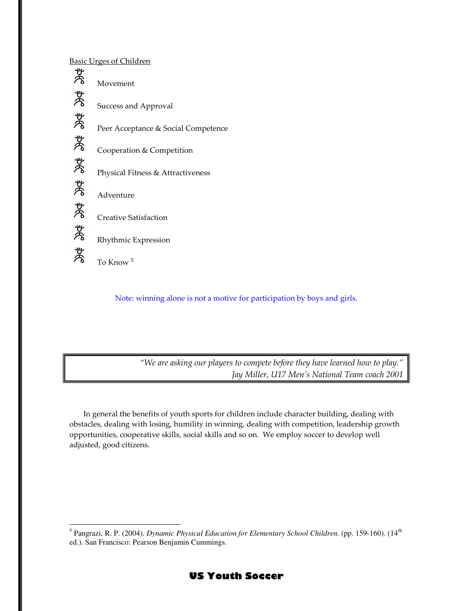Basic Urges of Children



Note: winning alone is not a motive for participation by boys and girls.

"We are asking our players to compete before they have learned how to play." Jay Miller, U17 Men's National Team coach 2001

In general the benefits of youth sports for children include character building, dealing with obstacles, dealing with losing, humility in winning, dealing with competition, leadership growth opportunities, cooperative skills, social skills and so on. We employ soccer to develop well adjusted, good citizens.

 $\overline{a}$ <sup>5</sup> Pangrazi, R. P. (2004). *Dynamic Physical Education for Elementary School Children*. (pp. 159-160). (14<sup>th</sup> ed.). San Francisco: Pearson Benjamin Cummings.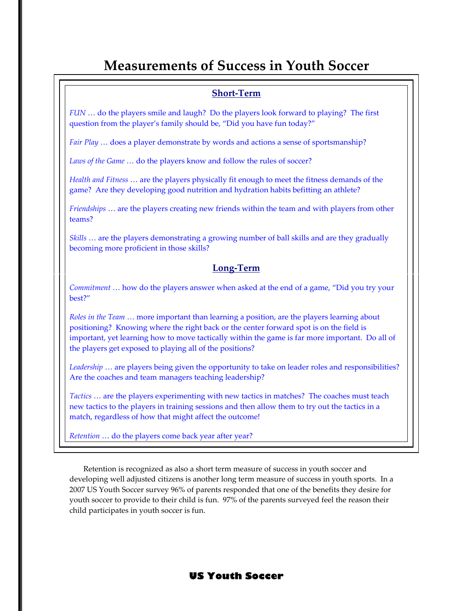# Measurements of Success in Youth Soccer

# Short-Term

FUN … do the players smile and laugh? Do the players look forward to playing? The first question from the player's family should be, "Did you have fun today?"

Fair Play ... does a player demonstrate by words and actions a sense of sportsmanship?

Laws of the Game ... do the players know and follow the rules of soccer?

Health and Fitness … are the players physically fit enough to meet the fitness demands of the game? Are they developing good nutrition and hydration habits befitting an athlete?

Friendships … are the players creating new friends within the team and with players from other teams?

Skills … are the players demonstrating a growing number of ball skills and are they gradually becoming more proficient in those skills?

# Long-Term

Commitment … how do the players answer when asked at the end of a game, "Did you try your best?"

Roles in the Team … more important than learning a position, are the players learning about positioning? Knowing where the right back or the center forward spot is on the field is important, yet learning how to move tactically within the game is far more important. Do all of the players get exposed to playing all of the positions?

Leadership ... are players being given the opportunity to take on leader roles and responsibilities? Are the coaches and team managers teaching leadership?

Tactics … are the players experimenting with new tactics in matches? The coaches must teach new tactics to the players in training sessions and then allow them to try out the tactics in a match, regardless of how that might affect the outcome!

Retention … do the players come back year after year?

Retention is recognized as also a short term measure of success in youth soccer and developing well adjusted citizens is another long term measure of success in youth sports. In a 2007 US Youth Soccer survey 96% of parents responded that one of the benefits they desire for youth soccer to provide to their child is fun. 97% of the parents surveyed feel the reason their child participates in youth soccer is fun.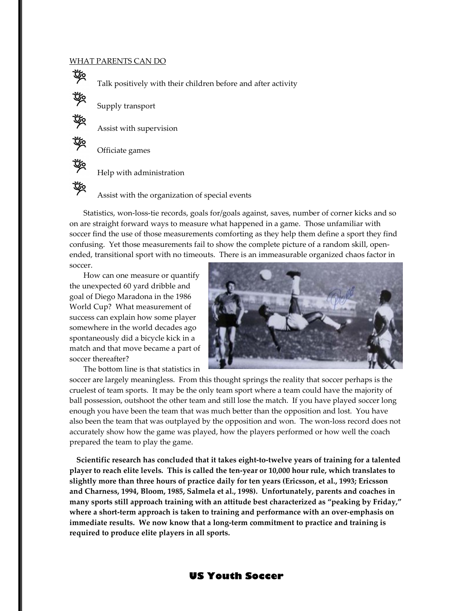#### WHAT PARENTS CAN DO

Talk positively with their children before and after activity

啖

啖

Assist with supervision

Supply transport

Officiate games

Help with administration

Assist with the organization of special events

Statistics, won-loss-tie records, goals for/goals against, saves, number of corner kicks and so on are straight forward ways to measure what happened in a game. Those unfamiliar with soccer find the use of those measurements comforting as they help them define a sport they find confusing. Yet those measurements fail to show the complete picture of a random skill, openended, transitional sport with no timeouts. There is an immeasurable organized chaos factor in soccer.

 How can one measure or quantify the unexpected 60 yard dribble and goal of Diego Maradona in the 1986 World Cup? What measurement of success can explain how some player somewhere in the world decades ago spontaneously did a bicycle kick in a match and that move became a part of soccer thereafter?

The bottom line is that statistics in



soccer are largely meaningless. From this thought springs the reality that soccer perhaps is the cruelest of team sports. It may be the only team sport where a team could have the majority of ball possession, outshoot the other team and still lose the match. If you have played soccer long enough you have been the team that was much better than the opposition and lost. You have also been the team that was outplayed by the opposition and won. The won-loss record does not accurately show how the game was played, how the players performed or how well the coach prepared the team to play the game.

Scientific research has concluded that it takes eight-to-twelve years of training for a talented player to reach elite levels. This is called the ten-year or 10,000 hour rule, which translates to slightly more than three hours of practice daily for ten years (Ericsson, et al., 1993; Ericsson and Charness, 1994, Bloom, 1985, Salmela et al., 1998). Unfortunately, parents and coaches in many sports still approach training with an attitude best characterized as "peaking by Friday," where a short-term approach is taken to training and performance with an over-emphasis on immediate results. We now know that a long-term commitment to practice and training is required to produce elite players in all sports.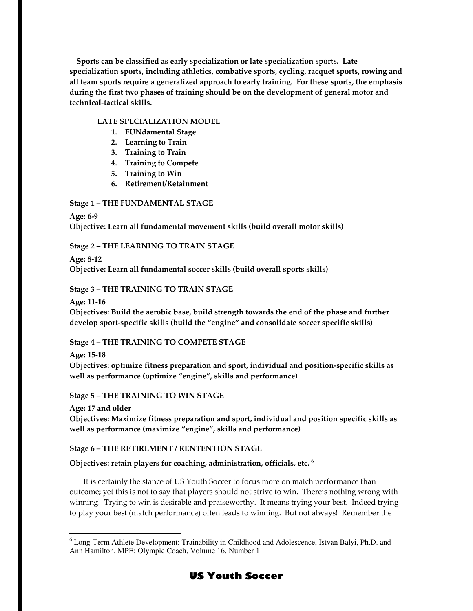Sports can be classified as early specialization or late specialization sports. Late specialization sports, including athletics, combative sports, cycling, racquet sports, rowing and all team sports require a generalized approach to early training. For these sports, the emphasis during the first two phases of training should be on the development of general motor and technical-tactical skills.

## LATE SPECIALIZATION MODEL

- 1. FUNdamental Stage
- 2. Learning to Train
- 3. Training to Train
- 4. Training to Compete
- 5. Training to Win
- 6. Retirement/Retainment

# Stage 1 – THE FUNDAMENTAL STAGE

Age: 6-9 Objective: Learn all fundamental movement skills (build overall motor skills)

# Stage 2 – THE LEARNING TO TRAIN STAGE

Age: 8-12

Objective: Learn all fundamental soccer skills (build overall sports skills)

# Stage 3 – THE TRAINING TO TRAIN STAGE

Age: 11-16

Objectives: Build the aerobic base, build strength towards the end of the phase and further develop sport-specific skills (build the "engine" and consolidate soccer specific skills)

### Stage 4 – THE TRAINING TO COMPETE STAGE

Age: 15-18

 $\overline{a}$ 

Objectives: optimize fitness preparation and sport, individual and position-specific skills as well as performance (optimize "engine", skills and performance)

Stage 5 – THE TRAINING TO WIN STAGE

Age: 17 and older

Objectives: Maximize fitness preparation and sport, individual and position specific skills as well as performance (maximize "engine", skills and performance)

### Stage 6 – THE RETIREMENT / RENTENTION STAGE

Objectives: retain players for coaching, administration, officials, etc.  $6$ 

It is certainly the stance of US Youth Soccer to focus more on match performance than outcome; yet this is not to say that players should not strive to win. There's nothing wrong with winning! Trying to win is desirable and praiseworthy. It means trying your best. Indeed trying to play your best (match performance) often leads to winning. But not always! Remember the

# US Youth Soccer

<sup>&</sup>lt;sup>6</sup> Long-Term Athlete Development: Trainability in Childhood and Adolescence, Istvan Balyi, Ph.D. and Ann Hamilton, MPE; Olympic Coach, Volume 16, Number 1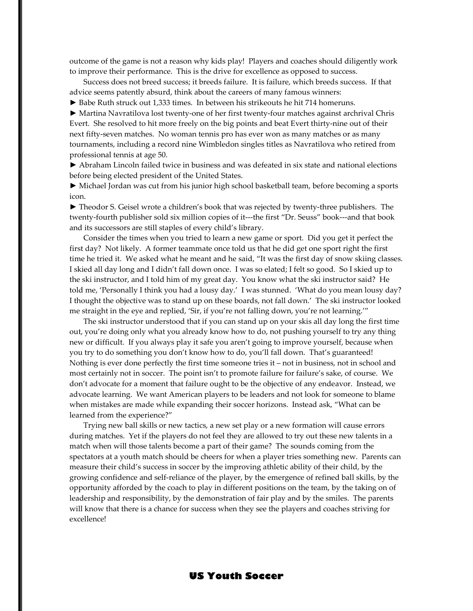outcome of the game is not a reason why kids play! Players and coaches should diligently work to improve their performance. This is the drive for excellence as opposed to success.

Success does not breed success; it breeds failure. It is failure, which breeds success. If that advice seems patently absurd, think about the careers of many famous winners:

► Babe Ruth struck out 1,333 times. In between his strikeouts he hit 714 homeruns.

► Martina Navratilova lost twenty-one of her first twenty-four matches against archrival Chris Evert. She resolved to hit more freely on the big points and beat Evert thirty-nine out of their next fifty-seven matches. No woman tennis pro has ever won as many matches or as many tournaments, including a record nine Wimbledon singles titles as Navratilova who retired from professional tennis at age 50.

► Abraham Lincoln failed twice in business and was defeated in six state and national elections before being elected president of the United States.

► Michael Jordan was cut from his junior high school basketball team, before becoming a sports icon.

► Theodor S. Geisel wrote a children's book that was rejected by twenty-three publishers. The twenty-fourth publisher sold six million copies of it---the first "Dr. Seuss" book---and that book and its successors are still staples of every child's library.

Consider the times when you tried to learn a new game or sport. Did you get it perfect the first day? Not likely. A former teammate once told us that he did get one sport right the first time he tried it. We asked what he meant and he said, "It was the first day of snow skiing classes. I skied all day long and I didn't fall down once. I was so elated; I felt so good. So I skied up to the ski instructor, and I told him of my great day. You know what the ski instructor said? He told me, 'Personally I think you had a lousy day.' I was stunned. 'What do you mean lousy day? I thought the objective was to stand up on these boards, not fall down.' The ski instructor looked me straight in the eye and replied, 'Sir, if you're not falling down, you're not learning.'"

The ski instructor understood that if you can stand up on your skis all day long the first time out, you're doing only what you already know how to do, not pushing yourself to try any thing new or difficult. If you always play it safe you aren't going to improve yourself, because when you try to do something you don't know how to do, you'll fall down. That's guaranteed! Nothing is ever done perfectly the first time someone tries it – not in business, not in school and most certainly not in soccer. The point isn't to promote failure for failure's sake, of course. We don't advocate for a moment that failure ought to be the objective of any endeavor. Instead, we advocate learning. We want American players to be leaders and not look for someone to blame when mistakes are made while expanding their soccer horizons. Instead ask, "What can be learned from the experience?"

 Trying new ball skills or new tactics, a new set play or a new formation will cause errors during matches. Yet if the players do not feel they are allowed to try out these new talents in a match when will those talents become a part of their game? The sounds coming from the spectators at a youth match should be cheers for when a player tries something new. Parents can measure their child's success in soccer by the improving athletic ability of their child, by the growing confidence and self-reliance of the player, by the emergence of refined ball skills, by the opportunity afforded by the coach to play in different positions on the team, by the taking on of leadership and responsibility, by the demonstration of fair play and by the smiles. The parents will know that there is a chance for success when they see the players and coaches striving for excellence!